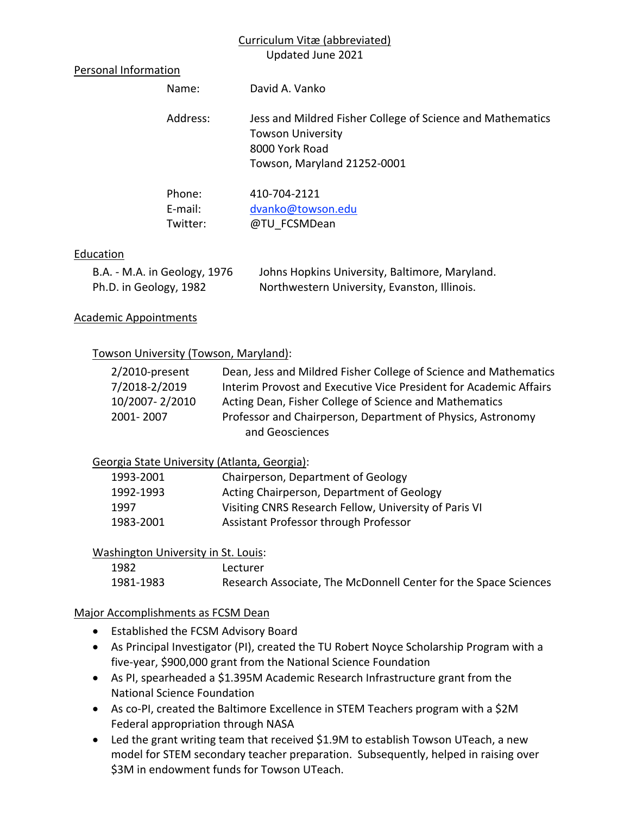## Curriculum Vitæ (abbreviated)

Updated June 2021

### Personal Information

| Name:             | David A. Vanko                                                                                                                          |
|-------------------|-----------------------------------------------------------------------------------------------------------------------------------------|
| Address:          | Jess and Mildred Fisher College of Science and Mathematics<br><b>Towson University</b><br>8000 York Road<br>Towson, Maryland 21252-0001 |
| Phone:<br>E-mail: | 410-704-2121<br>dvanko@towson.edu                                                                                                       |

### **Education**

| B.A. - M.A. in Geology, 1976 | Johns Hopkins University, Baltimore, Maryland. |
|------------------------------|------------------------------------------------|
| Ph.D. in Geology, 1982       | Northwestern University, Evanston, Illinois.   |

Twitter: @TU\_FCSMDean

### Academic Appointments

### Towson University (Towson, Maryland):

| $2/2010$ -present | Dean, Jess and Mildred Fisher College of Science and Mathematics  |
|-------------------|-------------------------------------------------------------------|
| 7/2018-2/2019     | Interim Provost and Executive Vice President for Academic Affairs |
| 10/2007-2/2010    | Acting Dean, Fisher College of Science and Mathematics            |
| 2001-2007         | Professor and Chairperson, Department of Physics, Astronomy       |
|                   | and Geosciences                                                   |

### Georgia State University (Atlanta, Georgia):

| 1993-2001 | Chairperson, Department of Geology                    |
|-----------|-------------------------------------------------------|
| 1992-1993 | Acting Chairperson, Department of Geology             |
| 1997      | Visiting CNRS Research Fellow, University of Paris VI |
| 1983-2001 | Assistant Professor through Professor                 |

### Washington University in St. Louis:

| 1982      | Lecturer                                                        |
|-----------|-----------------------------------------------------------------|
| 1981-1983 | Research Associate, The McDonnell Center for the Space Sciences |

### Major Accomplishments as FCSM Dean

- Established the FCSM Advisory Board
- As Principal Investigator (PI), created the TU Robert Noyce Scholarship Program with a five-year, \$900,000 grant from the National Science Foundation
- As PI, spearheaded a \$1.395M Academic Research Infrastructure grant from the National Science Foundation
- As co-PI, created the Baltimore Excellence in STEM Teachers program with a \$2M Federal appropriation through NASA
- Led the grant writing team that received \$1.9M to establish Towson UTeach, a new model for STEM secondary teacher preparation. Subsequently, helped in raising over \$3M in endowment funds for Towson UTeach.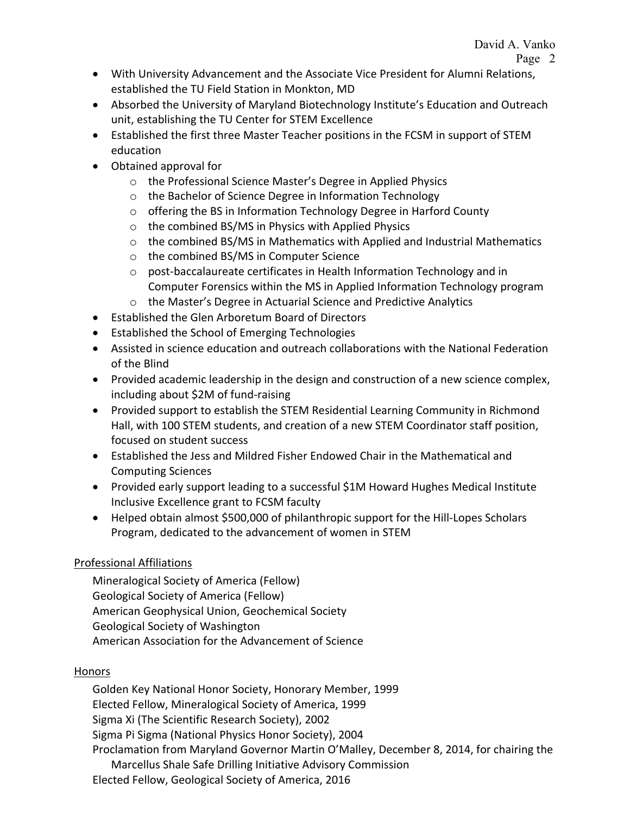- With University Advancement and the Associate Vice President for Alumni Relations, established the TU Field Station in Monkton, MD
- Absorbed the University of Maryland Biotechnology Institute's Education and Outreach unit, establishing the TU Center for STEM Excellence
- Established the first three Master Teacher positions in the FCSM in support of STEM education
- Obtained approval for
	- o the Professional Science Master's Degree in Applied Physics
	- o the Bachelor of Science Degree in Information Technology
	- o offering the BS in Information Technology Degree in Harford County
	- o the combined BS/MS in Physics with Applied Physics
	- o the combined BS/MS in Mathematics with Applied and Industrial Mathematics
	- o the combined BS/MS in Computer Science
	- o post-baccalaureate certificates in Health Information Technology and in Computer Forensics within the MS in Applied Information Technology program
	- o the Master's Degree in Actuarial Science and Predictive Analytics
- Established the Glen Arboretum Board of Directors
- **•** Established the School of Emerging Technologies
- Assisted in science education and outreach collaborations with the National Federation of the Blind
- Provided academic leadership in the design and construction of a new science complex, including about \$2M of fund-raising
- Provided support to establish the STEM Residential Learning Community in Richmond Hall, with 100 STEM students, and creation of a new STEM Coordinator staff position, focused on student success
- Established the Jess and Mildred Fisher Endowed Chair in the Mathematical and Computing Sciences
- Provided early support leading to a successful \$1M Howard Hughes Medical Institute Inclusive Excellence grant to FCSM faculty
- Helped obtain almost \$500,000 of philanthropic support for the Hill-Lopes Scholars Program, dedicated to the advancement of women in STEM

# Professional Affiliations

Mineralogical Society of America (Fellow) Geological Society of America (Fellow) American Geophysical Union, Geochemical Society Geological Society of Washington American Association for the Advancement of Science

# Honors

Golden Key National Honor Society, Honorary Member, 1999 Elected Fellow, Mineralogical Society of America, 1999 Sigma Xi (The Scientific Research Society), 2002 Sigma Pi Sigma (National Physics Honor Society), 2004 Proclamation from Maryland Governor Martin O'Malley, December 8, 2014, for chairing the Marcellus Shale Safe Drilling Initiative Advisory Commission Elected Fellow, Geological Society of America, 2016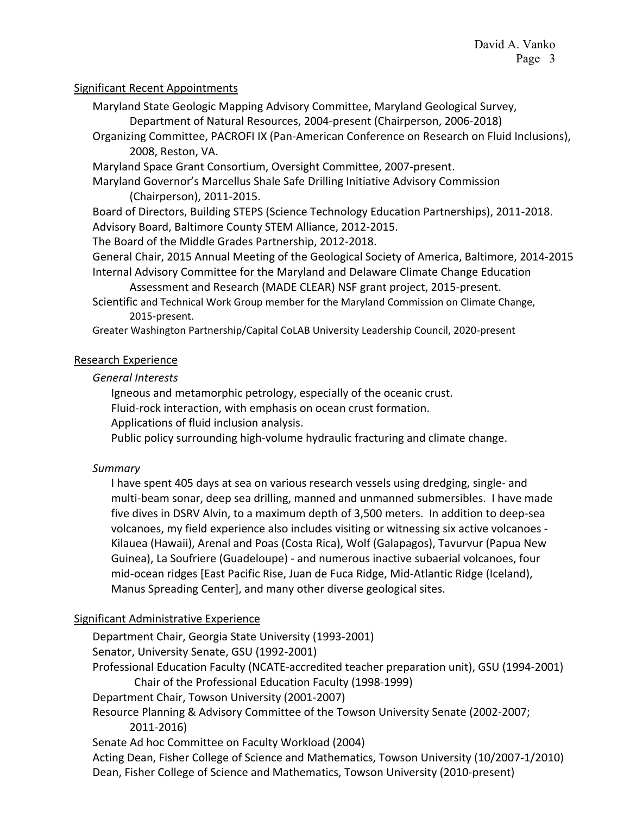## Significant Recent Appointments

- Maryland State Geologic Mapping Advisory Committee, Maryland Geological Survey,
	- Department of Natural Resources, 2004-present (Chairperson, 2006-2018)
- Organizing Committee, PACROFI IX (Pan-American Conference on Research on Fluid Inclusions), 2008, Reston, VA.
- Maryland Space Grant Consortium, Oversight Committee, 2007-present.
- Maryland Governor's Marcellus Shale Safe Drilling Initiative Advisory Commission (Chairperson), 2011-2015.

Board of Directors, Building STEPS (Science Technology Education Partnerships), 2011-2018. Advisory Board, Baltimore County STEM Alliance, 2012-2015.

The Board of the Middle Grades Partnership, 2012-2018.

General Chair, 2015 Annual Meeting of the Geological Society of America, Baltimore, 2014-2015 Internal Advisory Committee for the Maryland and Delaware Climate Change Education

Assessment and Research (MADE CLEAR) NSF grant project, 2015-present.

Scientific and Technical Work Group member for the Maryland Commission on Climate Change, 2015-present.

Greater Washington Partnership/Capital CoLAB University Leadership Council, 2020-present

## Research Experience

## *General Interests*

Igneous and metamorphic petrology, especially of the oceanic crust.

Fluid-rock interaction, with emphasis on ocean crust formation.

Applications of fluid inclusion analysis.

Public policy surrounding high-volume hydraulic fracturing and climate change.

## *Summary*

I have spent 405 days at sea on various research vessels using dredging, single- and multi-beam sonar, deep sea drilling, manned and unmanned submersibles. I have made five dives in DSRV Alvin, to a maximum depth of 3,500 meters. In addition to deep-sea volcanoes, my field experience also includes visiting or witnessing six active volcanoes - Kilauea (Hawaii), Arenal and Poas (Costa Rica), Wolf (Galapagos), Tavurvur (Papua New Guinea), La Soufriere (Guadeloupe) - and numerous inactive subaerial volcanoes, four mid-ocean ridges [East Pacific Rise, Juan de Fuca Ridge, Mid-Atlantic Ridge (Iceland), Manus Spreading Center], and many other diverse geological sites.

## Significant Administrative Experience

Department Chair, Georgia State University (1993-2001) Senator, University Senate, GSU (1992-2001) Professional Education Faculty (NCATE-accredited teacher preparation unit), GSU (1994-2001) Chair of the Professional Education Faculty (1998-1999) Department Chair, Towson University (2001-2007) Resource Planning & Advisory Committee of the Towson University Senate (2002-2007; 2011-2016) Senate Ad hoc Committee on Faculty Workload (2004) Acting Dean, Fisher College of Science and Mathematics, Towson University (10/2007-1/2010) Dean, Fisher College of Science and Mathematics, Towson University (2010-present)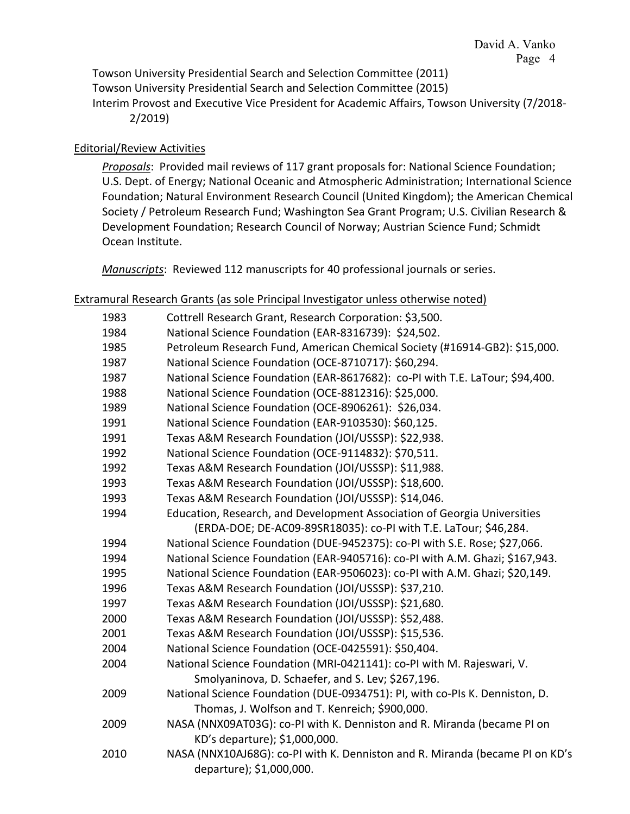Towson University Presidential Search and Selection Committee (2011) Towson University Presidential Search and Selection Committee (2015) Interim Provost and Executive Vice President for Academic Affairs, Towson University (7/2018- 2/2019)

## Editorial/Review Activities

*Proposals*: Provided mail reviews of 117 grant proposals for: National Science Foundation; U.S. Dept. of Energy; National Oceanic and Atmospheric Administration; International Science Foundation; Natural Environment Research Council (United Kingdom); the American Chemical Society / Petroleum Research Fund; Washington Sea Grant Program; U.S. Civilian Research & Development Foundation; Research Council of Norway; Austrian Science Fund; Schmidt Ocean Institute.

*Manuscripts*: Reviewed 112 manuscripts for 40 professional journals or series.

### Extramural Research Grants (as sole Principal Investigator unless otherwise noted)

| 1983 | Cottrell Research Grant, Research Corporation: \$3,500.                      |
|------|------------------------------------------------------------------------------|
| 1984 | National Science Foundation (EAR-8316739): \$24,502.                         |
| 1985 | Petroleum Research Fund, American Chemical Society (#16914-GB2): \$15,000.   |
| 1987 | National Science Foundation (OCE-8710717): \$60,294.                         |
| 1987 | National Science Foundation (EAR-8617682): co-PI with T.E. LaTour; \$94,400. |
| 1988 | National Science Foundation (OCE-8812316): \$25,000.                         |
| 1989 | National Science Foundation (OCE-8906261): \$26,034.                         |
| 1991 | National Science Foundation (EAR-9103530): \$60,125.                         |
| 1991 | Texas A&M Research Foundation (JOI/USSSP): \$22,938.                         |
| 1992 | National Science Foundation (OCE-9114832): \$70,511.                         |
| 1992 | Texas A&M Research Foundation (JOI/USSSP): \$11,988.                         |
| 1993 | Texas A&M Research Foundation (JOI/USSSP): \$18,600.                         |
| 1993 | Texas A&M Research Foundation (JOI/USSSP): \$14,046.                         |
| 1994 | Education, Research, and Development Association of Georgia Universities     |
|      | (ERDA-DOE; DE-AC09-89SR18035): co-PI with T.E. LaTour; \$46,284.             |
| 1994 | National Science Foundation (DUE-9452375): co-PI with S.E. Rose; \$27,066.   |
| 1994 | National Science Foundation (EAR-9405716): co-PI with A.M. Ghazi; \$167,943. |
| 1995 | National Science Foundation (EAR-9506023): co-PI with A.M. Ghazi; \$20,149.  |
| 1996 | Texas A&M Research Foundation (JOI/USSSP): \$37,210.                         |
| 1997 | Texas A&M Research Foundation (JOI/USSSP): \$21,680.                         |
| 2000 | Texas A&M Research Foundation (JOI/USSSP): \$52,488.                         |
| 2001 | Texas A&M Research Foundation (JOI/USSSP): \$15,536.                         |
| 2004 | National Science Foundation (OCE-0425591): \$50,404.                         |
| 2004 | National Science Foundation (MRI-0421141): co-PI with M. Rajeswari, V.       |
|      | Smolyaninova, D. Schaefer, and S. Lev; \$267,196.                            |
| 2009 | National Science Foundation (DUE-0934751): PI, with co-PIs K. Denniston, D.  |
|      | Thomas, J. Wolfson and T. Kenreich; \$900,000.                               |
| 2009 | NASA (NNX09AT03G): co-PI with K. Denniston and R. Miranda (became PI on      |
|      | KD's departure); \$1,000,000.                                                |
| 2010 | NASA (NNX10AJ68G): co-PI with K. Denniston and R. Miranda (became PI on KD's |
|      | departure); \$1,000,000.                                                     |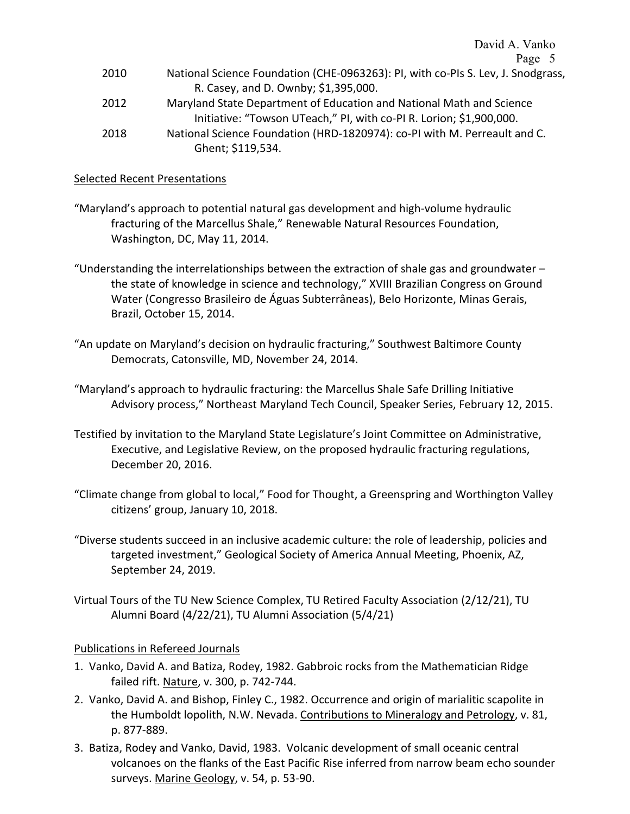David A. Vanko Page 5

| 2010 | National Science Foundation (CHE-0963263): PI, with co-PIs S. Lev, J. Snodgrass, |
|------|----------------------------------------------------------------------------------|
|      | R. Casey, and D. Ownby; \$1,395,000.                                             |
| 2012 | Maryland State Department of Education and National Math and Science             |
|      | Initiative: "Towson UTeach," PI, with co-PI R. Lorion; \$1,900,000.              |
| 2018 | National Science Foundation (HRD-1820974): co-PI with M. Perreault and C.        |

Ghent; \$119,534.

#### Selected Recent Presentations

- "Maryland's approach to potential natural gas development and high-volume hydraulic fracturing of the Marcellus Shale," Renewable Natural Resources Foundation, Washington, DC, May 11, 2014.
- "Understanding the interrelationships between the extraction of shale gas and groundwater  $$ the state of knowledge in science and technology," XVIII Brazilian Congress on Ground Water (Congresso Brasileiro de Águas Subterrâneas), Belo Horizonte, Minas Gerais, Brazil, October 15, 2014.
- "An update on Maryland's decision on hydraulic fracturing," Southwest Baltimore County Democrats, Catonsville, MD, November 24, 2014.
- "Maryland's approach to hydraulic fracturing: the Marcellus Shale Safe Drilling Initiative Advisory process," Northeast Maryland Tech Council, Speaker Series, February 12, 2015.
- Testified by invitation to the Maryland State Legislature's Joint Committee on Administrative, Executive, and Legislative Review, on the proposed hydraulic fracturing regulations, December 20, 2016.
- "Climate change from global to local," Food for Thought, a Greenspring and Worthington Valley citizens' group, January 10, 2018.
- "Diverse students succeed in an inclusive academic culture: the role of leadership, policies and targeted investment," Geological Society of America Annual Meeting, Phoenix, AZ, September 24, 2019.
- Virtual Tours of the TU New Science Complex, TU Retired Faculty Association (2/12/21), TU Alumni Board (4/22/21), TU Alumni Association (5/4/21)

#### Publications in Refereed Journals

- 1. Vanko, David A. and Batiza, Rodey, 1982. Gabbroic rocks from the Mathematician Ridge failed rift. Nature, v. 300, p. 742-744.
- 2. Vanko, David A. and Bishop, Finley C., 1982. Occurrence and origin of marialitic scapolite in the Humboldt lopolith, N.W. Nevada. Contributions to Mineralogy and Petrology, v. 81, p. 877-889.
- 3. Batiza, Rodey and Vanko, David, 1983. Volcanic development of small oceanic central volcanoes on the flanks of the East Pacific Rise inferred from narrow beam echo sounder surveys. Marine Geology, v. 54, p. 53-90.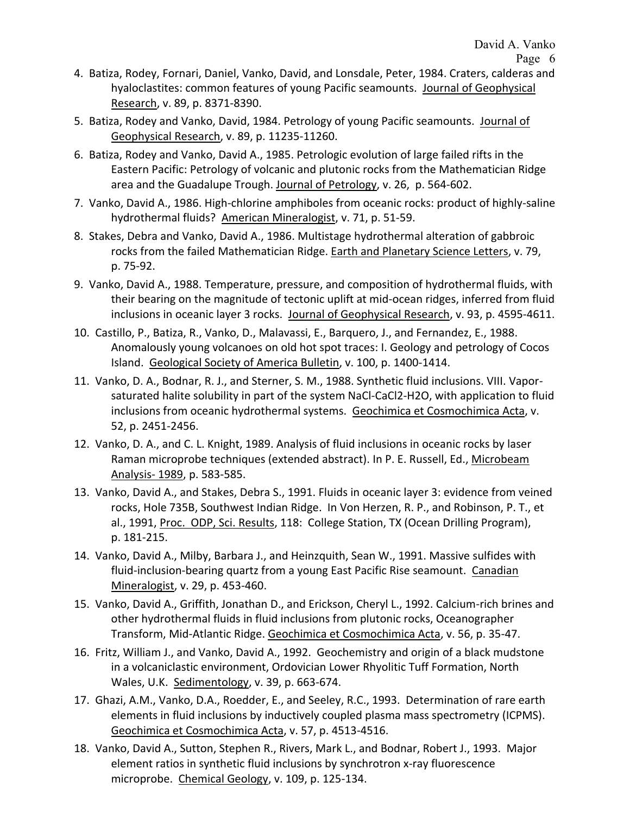- 4. Batiza, Rodey, Fornari, Daniel, Vanko, David, and Lonsdale, Peter, 1984. Craters, calderas and hyaloclastites: common features of young Pacific seamounts. Journal of Geophysical Research, v. 89, p. 8371-8390.
- 5. Batiza, Rodey and Vanko, David, 1984. Petrology of young Pacific seamounts. Journal of Geophysical Research, v. 89, p. 11235-11260.
- 6. Batiza, Rodey and Vanko, David A., 1985. Petrologic evolution of large failed rifts in the Eastern Pacific: Petrology of volcanic and plutonic rocks from the Mathematician Ridge area and the Guadalupe Trough. Journal of Petrology, v. 26, p. 564-602.
- 7. Vanko, David A., 1986. High-chlorine amphiboles from oceanic rocks: product of highly-saline hydrothermal fluids? American Mineralogist, v. 71, p. 51-59.
- 8. Stakes, Debra and Vanko, David A., 1986. Multistage hydrothermal alteration of gabbroic rocks from the failed Mathematician Ridge. Earth and Planetary Science Letters, v. 79, p. 75-92.
- 9. Vanko, David A., 1988. Temperature, pressure, and composition of hydrothermal fluids, with their bearing on the magnitude of tectonic uplift at mid-ocean ridges, inferred from fluid inclusions in oceanic layer 3 rocks. Journal of Geophysical Research, v. 93, p. 4595-4611.
- 10. Castillo, P., Batiza, R., Vanko, D., Malavassi, E., Barquero, J., and Fernandez, E., 1988. Anomalously young volcanoes on old hot spot traces: I. Geology and petrology of Cocos Island. Geological Society of America Bulletin, v. 100, p. 1400-1414.
- 11. Vanko, D. A., Bodnar, R. J., and Sterner, S. M., 1988. Synthetic fluid inclusions. VIII. Vaporsaturated halite solubility in part of the system NaCl-CaCl2-H2O, with application to fluid inclusions from oceanic hydrothermal systems. Geochimica et Cosmochimica Acta, v. 52, p. 2451-2456.
- 12. Vanko, D. A., and C. L. Knight, 1989. Analysis of fluid inclusions in oceanic rocks by laser Raman microprobe techniques (extended abstract). In P. E. Russell, Ed., Microbeam Analysis- 1989, p. 583-585.
- 13. Vanko, David A., and Stakes, Debra S., 1991. Fluids in oceanic layer 3: evidence from veined rocks, Hole 735B, Southwest Indian Ridge. In Von Herzen, R. P., and Robinson, P. T., et al., 1991, Proc. ODP, Sci. Results, 118: College Station, TX (Ocean Drilling Program), p. 181-215.
- 14. Vanko, David A., Milby, Barbara J., and Heinzquith, Sean W., 1991. Massive sulfides with fluid-inclusion-bearing quartz from a young East Pacific Rise seamount. Canadian Mineralogist, v. 29, p. 453-460.
- 15. Vanko, David A., Griffith, Jonathan D., and Erickson, Cheryl L., 1992. Calcium-rich brines and other hydrothermal fluids in fluid inclusions from plutonic rocks, Oceanographer Transform, Mid-Atlantic Ridge. Geochimica et Cosmochimica Acta, v. 56, p. 35-47.
- 16. Fritz, William J., and Vanko, David A., 1992. Geochemistry and origin of a black mudstone in a volcaniclastic environment, Ordovician Lower Rhyolitic Tuff Formation, North Wales, U.K. Sedimentology, v. 39, p. 663-674.
- 17. Ghazi, A.M., Vanko, D.A., Roedder, E., and Seeley, R.C., 1993. Determination of rare earth elements in fluid inclusions by inductively coupled plasma mass spectrometry (ICPMS). Geochimica et Cosmochimica Acta, v. 57, p. 4513-4516.
- 18. Vanko, David A., Sutton, Stephen R., Rivers, Mark L., and Bodnar, Robert J., 1993. Major element ratios in synthetic fluid inclusions by synchrotron x-ray fluorescence microprobe. Chemical Geology, v. 109, p. 125-134.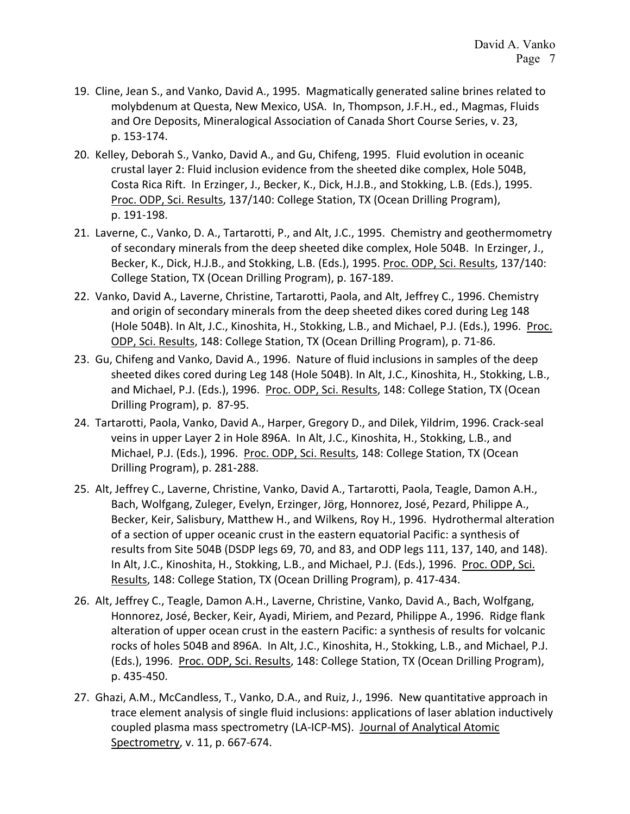- 19. Cline, Jean S., and Vanko, David A., 1995. Magmatically generated saline brines related to molybdenum at Questa, New Mexico, USA. In, Thompson, J.F.H., ed., Magmas, Fluids and Ore Deposits, Mineralogical Association of Canada Short Course Series, v. 23, p. 153-174.
- 20. Kelley, Deborah S., Vanko, David A., and Gu, Chifeng, 1995. Fluid evolution in oceanic crustal layer 2: Fluid inclusion evidence from the sheeted dike complex, Hole 504B, Costa Rica Rift. In Erzinger, J., Becker, K., Dick, H.J.B., and Stokking, L.B. (Eds.), 1995. Proc. ODP, Sci. Results, 137/140: College Station, TX (Ocean Drilling Program), p. 191-198.
- 21. Laverne, C., Vanko, D. A., Tartarotti, P., and Alt, J.C., 1995. Chemistry and geothermometry of secondary minerals from the deep sheeted dike complex, Hole 504B. In Erzinger, J., Becker, K., Dick, H.J.B., and Stokking, L.B. (Eds.), 1995. Proc. ODP, Sci. Results, 137/140: College Station, TX (Ocean Drilling Program), p. 167-189.
- 22. Vanko, David A., Laverne, Christine, Tartarotti, Paola, and Alt, Jeffrey C., 1996. Chemistry and origin of secondary minerals from the deep sheeted dikes cored during Leg 148 (Hole 504B). In Alt, J.C., Kinoshita, H., Stokking, L.B., and Michael, P.J. (Eds.), 1996. Proc. ODP, Sci. Results, 148: College Station, TX (Ocean Drilling Program), p. 71-86.
- 23. Gu, Chifeng and Vanko, David A., 1996. Nature of fluid inclusions in samples of the deep sheeted dikes cored during Leg 148 (Hole 504B). In Alt, J.C., Kinoshita, H., Stokking, L.B., and Michael, P.J. (Eds.), 1996. Proc. ODP, Sci. Results, 148: College Station, TX (Ocean Drilling Program), p. 87-95.
- 24. Tartarotti, Paola, Vanko, David A., Harper, Gregory D., and Dilek, Yildrim, 1996. Crack-seal veins in upper Layer 2 in Hole 896A. In Alt, J.C., Kinoshita, H., Stokking, L.B., and Michael, P.J. (Eds.), 1996. Proc. ODP, Sci. Results, 148: College Station, TX (Ocean Drilling Program), p. 281-288.
- 25. Alt, Jeffrey C., Laverne, Christine, Vanko, David A., Tartarotti, Paola, Teagle, Damon A.H., Bach, Wolfgang, Zuleger, Evelyn, Erzinger, Jörg, Honnorez, José, Pezard, Philippe A., Becker, Keir, Salisbury, Matthew H., and Wilkens, Roy H., 1996. Hydrothermal alteration of a section of upper oceanic crust in the eastern equatorial Pacific: a synthesis of results from Site 504B (DSDP legs 69, 70, and 83, and ODP legs 111, 137, 140, and 148). In Alt, J.C., Kinoshita, H., Stokking, L.B., and Michael, P.J. (Eds.), 1996. Proc. ODP, Sci. Results, 148: College Station, TX (Ocean Drilling Program), p. 417-434.
- 26. Alt, Jeffrey C., Teagle, Damon A.H., Laverne, Christine, Vanko, David A., Bach, Wolfgang, Honnorez, José, Becker, Keir, Ayadi, Miriem, and Pezard, Philippe A., 1996. Ridge flank alteration of upper ocean crust in the eastern Pacific: a synthesis of results for volcanic rocks of holes 504B and 896A. In Alt, J.C., Kinoshita, H., Stokking, L.B., and Michael, P.J. (Eds.), 1996. Proc. ODP, Sci. Results, 148: College Station, TX (Ocean Drilling Program), p. 435-450.
- 27. Ghazi, A.M., McCandless, T., Vanko, D.A., and Ruiz, J., 1996. New quantitative approach in trace element analysis of single fluid inclusions: applications of laser ablation inductively coupled plasma mass spectrometry (LA-ICP-MS). Journal of Analytical Atomic Spectrometry, v. 11, p. 667-674.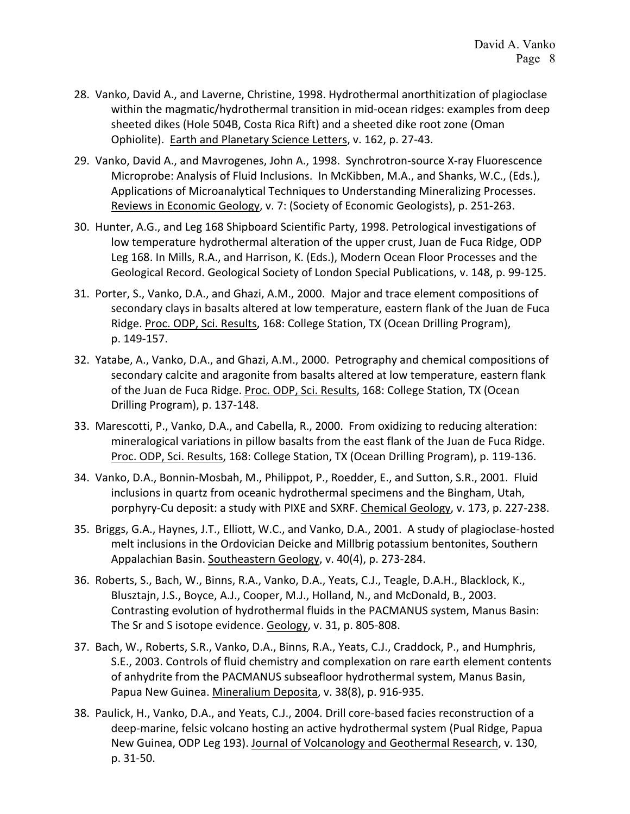- 28. Vanko, David A., and Laverne, Christine, 1998. Hydrothermal anorthitization of plagioclase within the magmatic/hydrothermal transition in mid-ocean ridges: examples from deep sheeted dikes (Hole 504B, Costa Rica Rift) and a sheeted dike root zone (Oman Ophiolite). Earth and Planetary Science Letters, v. 162, p. 27-43.
- 29. Vanko, David A., and Mavrogenes, John A., 1998. Synchrotron-source X-ray Fluorescence Microprobe: Analysis of Fluid Inclusions. In McKibben, M.A., and Shanks, W.C., (Eds.), Applications of Microanalytical Techniques to Understanding Mineralizing Processes. Reviews in Economic Geology, v. 7: (Society of Economic Geologists), p. 251-263.
- 30. Hunter, A.G., and Leg 168 Shipboard Scientific Party, 1998. Petrological investigations of low temperature hydrothermal alteration of the upper crust, Juan de Fuca Ridge, ODP Leg 168. In Mills, R.A., and Harrison, K. (Eds.), Modern Ocean Floor Processes and the Geological Record. Geological Society of London Special Publications, v. 148, p. 99-125.
- 31. Porter, S., Vanko, D.A., and Ghazi, A.M., 2000. Major and trace element compositions of secondary clays in basalts altered at low temperature, eastern flank of the Juan de Fuca Ridge. Proc. ODP, Sci. Results, 168: College Station, TX (Ocean Drilling Program), p. 149-157.
- 32. Yatabe, A., Vanko, D.A., and Ghazi, A.M., 2000. Petrography and chemical compositions of secondary calcite and aragonite from basalts altered at low temperature, eastern flank of the Juan de Fuca Ridge. Proc. ODP, Sci. Results, 168: College Station, TX (Ocean Drilling Program), p. 137-148.
- 33. Marescotti, P., Vanko, D.A., and Cabella, R., 2000. From oxidizing to reducing alteration: mineralogical variations in pillow basalts from the east flank of the Juan de Fuca Ridge. Proc. ODP, Sci. Results, 168: College Station, TX (Ocean Drilling Program), p. 119-136.
- 34. Vanko, D.A., Bonnin-Mosbah, M., Philippot, P., Roedder, E., and Sutton, S.R., 2001. Fluid inclusions in quartz from oceanic hydrothermal specimens and the Bingham, Utah, porphyry-Cu deposit: a study with PIXE and SXRF. Chemical Geology, v. 173, p. 227-238.
- 35. Briggs, G.A., Haynes, J.T., Elliott, W.C., and Vanko, D.A., 2001. A study of plagioclase-hosted melt inclusions in the Ordovician Deicke and Millbrig potassium bentonites, Southern Appalachian Basin. Southeastern Geology, v. 40(4), p. 273-284.
- 36. Roberts, S., Bach, W., Binns, R.A., Vanko, D.A., Yeats, C.J., Teagle, D.A.H., Blacklock, K., Blusztajn, J.S., Boyce, A.J., Cooper, M.J., Holland, N., and McDonald, B., 2003. Contrasting evolution of hydrothermal fluids in the PACMANUS system, Manus Basin: The Sr and S isotope evidence. Geology, v. 31, p. 805-808.
- 37. Bach, W., Roberts, S.R., Vanko, D.A., Binns, R.A., Yeats, C.J., Craddock, P., and Humphris, S.E., 2003. Controls of fluid chemistry and complexation on rare earth element contents of anhydrite from the PACMANUS subseafloor hydrothermal system, Manus Basin, Papua New Guinea. Mineralium Deposita, v. 38(8), p. 916-935.
- 38. Paulick, H., Vanko, D.A., and Yeats, C.J., 2004. Drill core-based facies reconstruction of a deep-marine, felsic volcano hosting an active hydrothermal system (Pual Ridge, Papua New Guinea, ODP Leg 193). Journal of Volcanology and Geothermal Research, v. 130, p. 31-50.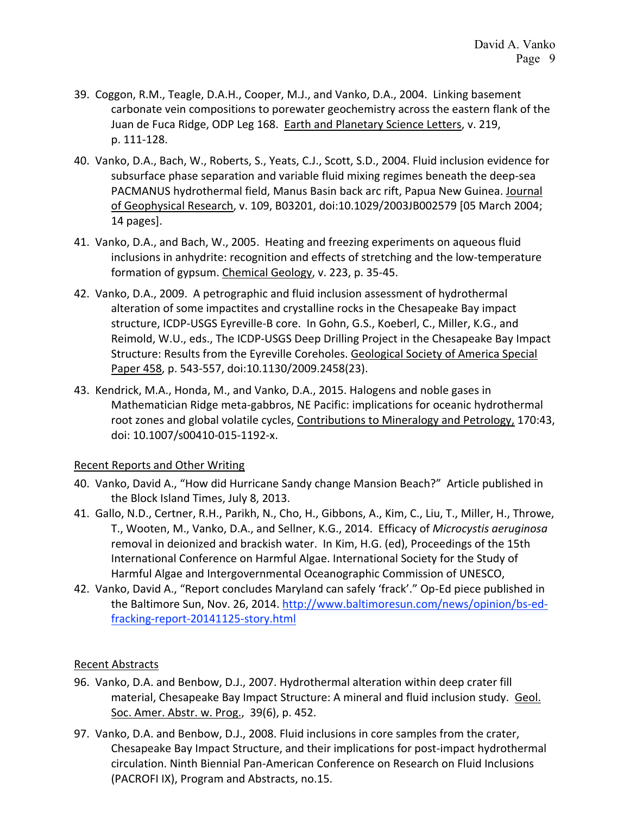- 39. Coggon, R.M., Teagle, D.A.H., Cooper, M.J., and Vanko, D.A., 2004. Linking basement carbonate vein compositions to porewater geochemistry across the eastern flank of the Juan de Fuca Ridge, ODP Leg 168. Earth and Planetary Science Letters, v. 219, p. 111-128.
- 40. Vanko, D.A., Bach, W., Roberts, S., Yeats, C.J., Scott, S.D., 2004. Fluid inclusion evidence for subsurface phase separation and variable fluid mixing regimes beneath the deep-sea PACMANUS hydrothermal field, Manus Basin back arc rift, Papua New Guinea. Journal of Geophysical Research, v. 109, B03201, doi:10.1029/2003JB002579 [05 March 2004; 14 pages].
- 41. Vanko, D.A., and Bach, W., 2005. Heating and freezing experiments on aqueous fluid inclusions in anhydrite: recognition and effects of stretching and the low-temperature formation of gypsum. Chemical Geology, v. 223, p. 35-45.
- 42. Vanko, D.A., 2009. A petrographic and fluid inclusion assessment of hydrothermal alteration of some impactites and crystalline rocks in the Chesapeake Bay impact structure, ICDP-USGS Eyreville-B core. In Gohn, G.S., Koeberl, C., Miller, K.G., and Reimold, W.U., eds., The ICDP-USGS Deep Drilling Project in the Chesapeake Bay Impact Structure: Results from the Eyreville Coreholes. Geological Society of America Special Paper 458, p. 543-557, doi:10.1130/2009.2458(23).
- 43. Kendrick, M.A., Honda, M., and Vanko, D.A., 2015. Halogens and noble gases in Mathematician Ridge meta-gabbros, NE Pacific: implications for oceanic hydrothermal root zones and global volatile cycles, Contributions to Mineralogy and Petrology, 170:43, doi: 10.1007/s00410-015-1192-x.

## Recent Reports and Other Writing

- 40. Vanko, David A., "How did Hurricane Sandy change Mansion Beach?" Article published in the Block Island Times, July 8, 2013.
- 41. Gallo, N.D., Certner, R.H., Parikh, N., Cho, H., Gibbons, A., Kim, C., Liu, T., Miller, H., Throwe, T., Wooten, M., Vanko, D.A., and Sellner, K.G., 2014. Efficacy of *Microcystis aeruginosa* removal in deionized and brackish water. In Kim, H.G. (ed), Proceedings of the 15th International Conference on Harmful Algae. International Society for the Study of Harmful Algae and Intergovernmental Oceanographic Commission of UNESCO,
- [42.](http://www.issha.org/Welcome-to-ISSHA/Conferences/ICHA-conference-proceedings/ICHA15-Proceedings%2042) Vanko, David A., "Report concludes Maryland can safely 'frack'." Op-Ed piece published in the Baltimore Sun, Nov. 26, 2014. [http://www.baltimoresun.com/news/opinion/bs-ed](http://www.baltimoresun.com/news/opinion/bs-ed-fracking-report-20141125-story.html)[fracking-report-20141125-story.html](http://www.baltimoresun.com/news/opinion/bs-ed-fracking-report-20141125-story.html)

## Recent Abstracts

- 96. Vanko, D.A. and Benbow, D.J., 2007. Hydrothermal alteration within deep crater fill material, Chesapeake Bay Impact Structure: A mineral and fluid inclusion study. Geol. Soc. Amer. Abstr. w. Prog., 39(6), p. 452.
- 97. Vanko, D.A. and Benbow, D.J., 2008. Fluid inclusions in core samples from the crater, Chesapeake Bay Impact Structure, and their implications for post-impact hydrothermal circulation. Ninth Biennial Pan-American Conference on Research on Fluid Inclusions (PACROFI IX), Program and Abstracts, no.15.